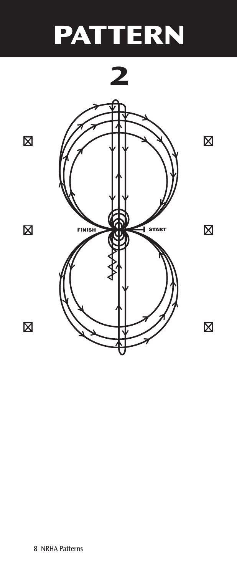## **PATTERN**



 $\boxtimes$ 

 $\overline{\mathsf{X}}$ 

 $\overline{\mathsf{X}}$